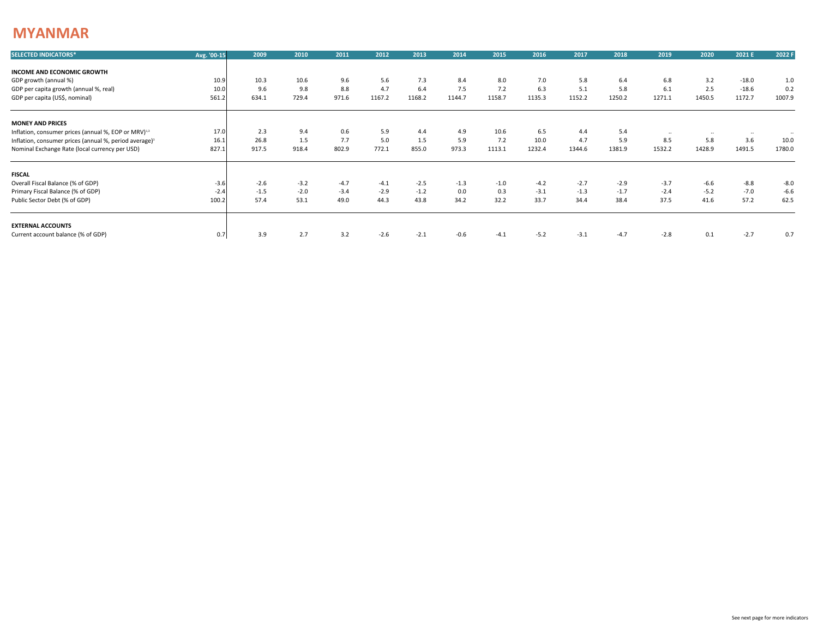## **MYANMAR**

| <b>SELECTED INDICATORS*</b>                                        | Avg. '00-15 | 2009   | 2010   | 2011   | 2012   | 2013   | 2014   | 2015   | 2016   | 2017   | 2018   | 2019   | 2020   | 2021 E   | 2022 F |
|--------------------------------------------------------------------|-------------|--------|--------|--------|--------|--------|--------|--------|--------|--------|--------|--------|--------|----------|--------|
| INCOME AND ECONOMIC GROWTH                                         |             |        |        |        |        |        |        |        |        |        |        |        |        |          |        |
| GDP growth (annual %)                                              | 10.9        | 10.3   | 10.6   | 9.6    | 5.6    | 7.3    | 8.4    | 8.0    | 7.0    | 5.8    | 6.4    | 6.8    | 3.2    | $-18.0$  | 1.0    |
| GDP per capita growth (annual %, real)                             | 10.0        | 9.6    | 9.8    | 8.8    | 4.7    | 6.4    | 7.5    | 7.2    | 6.3    | 5.1    | 5.8    | 6.1    | 2.5    | $-18.6$  | 0.2    |
| GDP per capita (US\$, nominal)                                     | 561.2       | 634.1  | 729.4  | 971.6  | 1167.2 | 1168.2 | 1144.7 | 1158.7 | 1135.3 | 1152.2 | 1250.2 | 1271.1 | 1450.5 | 1172.7   | 1007.9 |
| <b>MONEY AND PRICES</b>                                            |             |        |        |        |        |        |        |        |        |        |        |        |        |          |        |
| Inflation, consumer prices (annual %, EOP or MRV) <sup>1,3</sup>   | 17.0        | 2.3    | 9.4    | 0.6    | 5.9    | 4.4    | 4.9    | 10.6   | 6.5    | 4.4    | 5.4    |        |        | $\cdots$ |        |
| Inflation, consumer prices (annual %, period average) <sup>3</sup> | 16.1        | 26.8   | 1.5    | 7.7    | 5.0    | 1.5    | 5.9    | 7.2    | 10.0   | 4.7    | 5.9    | 8.5    | 5.8    | 3.6      | 10.0   |
| Nominal Exchange Rate (local currency per USD)                     | 827.1       | 917.5  | 918.4  | 802.9  | 772.1  | 855.0  | 973.3  | 1113.1 | 1232.4 | 1344.6 | 1381.9 | 1532.2 | 1428.9 | 1491.5   | 1780.0 |
| <b>FISCAL</b>                                                      |             |        |        |        |        |        |        |        |        |        |        |        |        |          |        |
| Overall Fiscal Balance (% of GDP)                                  | $-3.6$      | $-2.6$ | $-3.2$ | $-4.7$ | $-4.1$ | $-2.5$ | $-1.3$ | $-1.0$ | $-4.2$ | $-2.7$ | $-2.9$ | $-3.7$ | $-6.6$ | $-8.8$   | $-8.0$ |
| Primary Fiscal Balance (% of GDP)                                  | $-2.4$      | $-1.5$ | $-2.0$ | $-3.4$ | $-2.9$ | $-1.2$ | 0.0    | 0.3    | $-3.1$ | $-1.3$ | $-1.7$ | $-2.4$ | $-5.2$ | $-7.0$   | $-6.6$ |
| Public Sector Debt (% of GDP)                                      | 100.2       | 57.4   | 53.1   | 49.0   | 44.3   | 43.8   | 34.2   | 32.2   | 33.7   | 34.4   | 38.4   | 37.5   | 41.6   | 57.2     | 62.5   |
| <b>EXTERNAL ACCOUNTS</b>                                           |             |        |        |        |        |        |        |        |        |        |        |        |        |          |        |
| Current account balance (% of GDP)                                 | 0.7         | 3.9    | 2.7    | 3.2    | $-2.6$ | $-2.1$ | $-0.6$ | $-4.1$ | $-5.2$ | $-3.1$ | $-4.7$ | $-2.8$ | 0.1    | $-2.7$   | 0.7    |